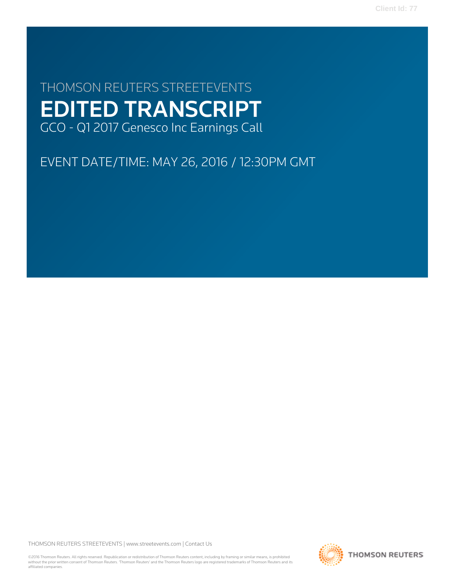**Client Id: 77**

# THOMSON REUTERS STREETEVENTS EDITED TRANSCRIPT GCO - Q1 2017 Genesco Inc Earnings Call

EVENT DATE/TIME: MAY 26, 2016 / 12:30PM GMT

THOMSON REUTERS STREETEVENTS | [www.streetevents.com](http://www.streetevents.com) | [Contact Us](http://www010.streetevents.com/contact.asp)

©2016 Thomson Reuters. All rights reserved. Republication or redistribution of Thomson Reuters content, including by framing or similar means, is prohibited without the prior written consent of Thomson Reuters. 'Thomson Reuters' and the Thomson Reuters logo are registered trademarks of Thomson Reuters and its affiliated companies.

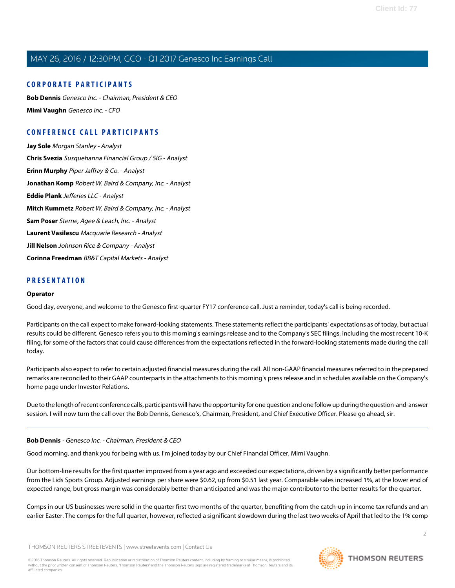### **CORPORATE PARTICIPANTS**

**[Bob Dennis](#page-1-0)** Genesco Inc. - Chairman, President & CEO **[Mimi Vaughn](#page-3-0)** Genesco Inc. - CFO

## **CONFERENCE CALL PARTICIPANTS**

**[Jay Sole](#page-7-0)** Morgan Stanley - Analyst **[Chris Svezia](#page-8-0)** Susquehanna Financial Group / SIG - Analyst **[Erinn Murphy](#page-10-0)** Piper Jaffray & Co. - Analyst **[Jonathan Komp](#page-11-0)** Robert W. Baird & Company, Inc. - Analyst **[Eddie Plank](#page-12-0)** Jefferies LLC - Analyst **[Mitch Kummetz](#page-13-0)** Robert W. Baird & Company, Inc. - Analyst **[Sam Poser](#page-14-0)** Sterne, Agee & Leach, Inc. - Analyst **[Laurent Vasilescu](#page-15-0)** Macquarie Research - Analyst **[Jill Nelson](#page-15-1)** Johnson Rice & Company - Analyst **[Corinna Freedman](#page-16-0)** BB&T Capital Markets - Analyst

### **PRESENTATION**

#### **Operator**

Good day, everyone, and welcome to the Genesco first-quarter FY17 conference call. Just a reminder, today's call is being recorded.

Participants on the call expect to make forward-looking statements. These statements reflect the participants' expectations as of today, but actual results could be different. Genesco refers you to this morning's earnings release and to the Company's SEC filings, including the most recent 10-K filing, for some of the factors that could cause differences from the expectations reflected in the forward-looking statements made during the call today.

Participants also expect to refer to certain adjusted financial measures during the call. All non-GAAP financial measures referred to in the prepared remarks are reconciled to their GAAP counterparts in the attachments to this morning's press release and in schedules available on the Company's home page under Investor Relations.

<span id="page-1-0"></span>Due to the length of recent conference calls, participants will have the opportunity for one question and one follow up during the question-and-answer session. I will now turn the call over the Bob Dennis, Genesco's, Chairman, President, and Chief Executive Officer. Please go ahead, sir.

#### **Bob Dennis** - Genesco Inc. - Chairman, President & CEO

Good morning, and thank you for being with us. I'm joined today by our Chief Financial Officer, Mimi Vaughn.

Our bottom-line results for the first quarter improved from a year ago and exceeded our expectations, driven by a significantly better performance from the Lids Sports Group. Adjusted earnings per share were \$0.62, up from \$0.51 last year. Comparable sales increased 1%, at the lower end of expected range, but gross margin was considerably better than anticipated and was the major contributor to the better results for the quarter.

Comps in our US businesses were solid in the quarter first two months of the quarter, benefiting from the catch-up in income tax refunds and an earlier Easter. The comps for the full quarter, however, reflected a significant slowdown during the last two weeks of April that led to the 1% comp

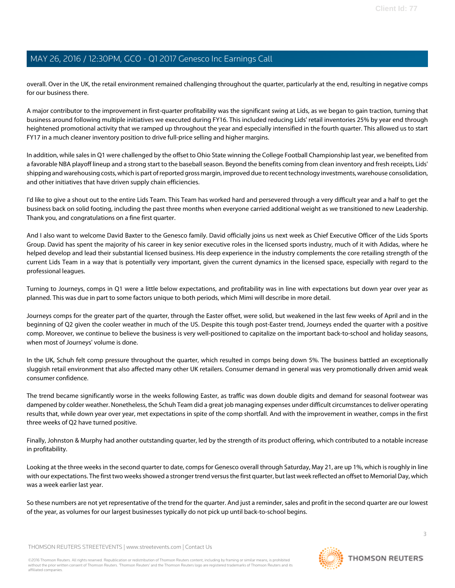overall. Over in the UK, the retail environment remained challenging throughout the quarter, particularly at the end, resulting in negative comps for our business there.

A major contributor to the improvement in first-quarter profitability was the significant swing at Lids, as we began to gain traction, turning that business around following multiple initiatives we executed during FY16. This included reducing Lids' retail inventories 25% by year end through heightened promotional activity that we ramped up throughout the year and especially intensified in the fourth quarter. This allowed us to start FY17 in a much cleaner inventory position to drive full-price selling and higher margins.

In addition, while sales in Q1 were challenged by the offset to Ohio State winning the College Football Championship last year, we benefited from a favorable NBA playoff lineup and a strong start to the baseball season. Beyond the benefits coming from clean inventory and fresh receipts, Lids' shipping and warehousing costs, which is part of reported gross margin, improved due to recent technology investments, warehouse consolidation, and other initiatives that have driven supply chain efficiencies.

I'd like to give a shout out to the entire Lids Team. This Team has worked hard and persevered through a very difficult year and a half to get the business back on solid footing, including the past three months when everyone carried additional weight as we transitioned to new Leadership. Thank you, and congratulations on a fine first quarter.

And I also want to welcome David Baxter to the Genesco family. David officially joins us next week as Chief Executive Officer of the Lids Sports Group. David has spent the majority of his career in key senior executive roles in the licensed sports industry, much of it with Adidas, where he helped develop and lead their substantial licensed business. His deep experience in the industry complements the core retailing strength of the current Lids Team in a way that is potentially very important, given the current dynamics in the licensed space, especially with regard to the professional leagues.

Turning to Journeys, comps in Q1 were a little below expectations, and profitability was in line with expectations but down year over year as planned. This was due in part to some factors unique to both periods, which Mimi will describe in more detail.

Journeys comps for the greater part of the quarter, through the Easter offset, were solid, but weakened in the last few weeks of April and in the beginning of Q2 given the cooler weather in much of the US. Despite this tough post-Easter trend, Journeys ended the quarter with a positive comp. Moreover, we continue to believe the business is very well-positioned to capitalize on the important back-to-school and holiday seasons, when most of Journeys' volume is done.

In the UK, Schuh felt comp pressure throughout the quarter, which resulted in comps being down 5%. The business battled an exceptionally sluggish retail environment that also affected many other UK retailers. Consumer demand in general was very promotionally driven amid weak consumer confidence.

The trend became significantly worse in the weeks following Easter, as traffic was down double digits and demand for seasonal footwear was dampened by colder weather. Nonetheless, the Schuh Team did a great job managing expenses under difficult circumstances to deliver operating results that, while down year over year, met expectations in spite of the comp shortfall. And with the improvement in weather, comps in the first three weeks of Q2 have turned positive.

Finally, Johnston & Murphy had another outstanding quarter, led by the strength of its product offering, which contributed to a notable increase in profitability.

Looking at the three weeks in the second quarter to date, comps for Genesco overall through Saturday, May 21, are up 1%, which is roughly in line with our expectations. The first two weeks showed a stronger trend versus the first quarter, but last week reflected an offset to Memorial Day, which was a week earlier last year.

So these numbers are not yet representative of the trend for the quarter. And just a reminder, sales and profit in the second quarter are our lowest of the year, as volumes for our largest businesses typically do not pick up until back-to-school begins.

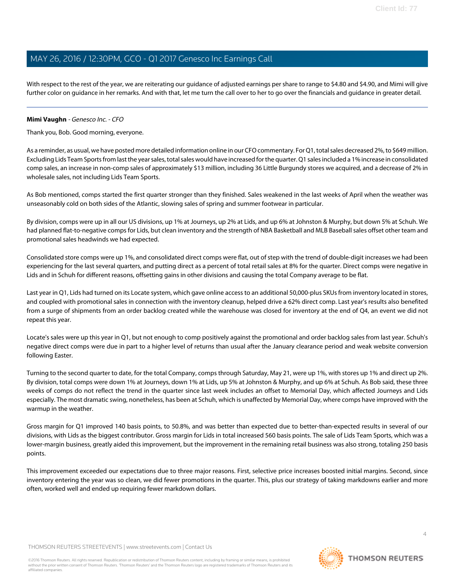With respect to the rest of the year, we are reiterating our guidance of adjusted earnings per share to range to \$4.80 and \$4.90, and Mimi will give further color on guidance in her remarks. And with that, let me turn the call over to her to go over the financials and guidance in greater detail.

#### <span id="page-3-0"></span>**Mimi Vaughn** - Genesco Inc. - CFO

Thank you, Bob. Good morning, everyone.

As a reminder, as usual, we have posted more detailed information online in our CFO commentary. For Q1, total sales decreased 2%, to \$649 million. Excluding Lids Team Sports from last the year sales, total sales would have increased for the quarter. Q1 sales included a 1% increase in consolidated comp sales, an increase in non-comp sales of approximately \$13 million, including 36 Little Burgundy stores we acquired, and a decrease of 2% in wholesale sales, not including Lids Team Sports.

As Bob mentioned, comps started the first quarter stronger than they finished. Sales weakened in the last weeks of April when the weather was unseasonably cold on both sides of the Atlantic, slowing sales of spring and summer footwear in particular.

By division, comps were up in all our US divisions, up 1% at Journeys, up 2% at Lids, and up 6% at Johnston & Murphy, but down 5% at Schuh. We had planned flat-to-negative comps for Lids, but clean inventory and the strength of NBA Basketball and MLB Baseball sales offset other team and promotional sales headwinds we had expected.

Consolidated store comps were up 1%, and consolidated direct comps were flat, out of step with the trend of double-digit increases we had been experiencing for the last several quarters, and putting direct as a percent of total retail sales at 8% for the quarter. Direct comps were negative in Lids and in Schuh for different reasons, offsetting gains in other divisions and causing the total Company average to be flat.

Last year in Q1, Lids had turned on its Locate system, which gave online access to an additional 50,000-plus SKUs from inventory located in stores, and coupled with promotional sales in connection with the inventory cleanup, helped drive a 62% direct comp. Last year's results also benefited from a surge of shipments from an order backlog created while the warehouse was closed for inventory at the end of Q4, an event we did not repeat this year.

Locate's sales were up this year in Q1, but not enough to comp positively against the promotional and order backlog sales from last year. Schuh's negative direct comps were due in part to a higher level of returns than usual after the January clearance period and weak website conversion following Easter.

Turning to the second quarter to date, for the total Company, comps through Saturday, May 21, were up 1%, with stores up 1% and direct up 2%. By division, total comps were down 1% at Journeys, down 1% at Lids, up 5% at Johnston & Murphy, and up 6% at Schuh. As Bob said, these three weeks of comps do not reflect the trend in the quarter since last week includes an offset to Memorial Day, which affected Journeys and Lids especially. The most dramatic swing, nonetheless, has been at Schuh, which is unaffected by Memorial Day, where comps have improved with the warmup in the weather.

Gross margin for Q1 improved 140 basis points, to 50.8%, and was better than expected due to better-than-expected results in several of our divisions, with Lids as the biggest contributor. Gross margin for Lids in total increased 560 basis points. The sale of Lids Team Sports, which was a lower-margin business, greatly aided this improvement, but the improvement in the remaining retail business was also strong, totaling 250 basis points.

This improvement exceeded our expectations due to three major reasons. First, selective price increases boosted initial margins. Second, since inventory entering the year was so clean, we did fewer promotions in the quarter. This, plus our strategy of taking markdowns earlier and more often, worked well and ended up requiring fewer markdown dollars.

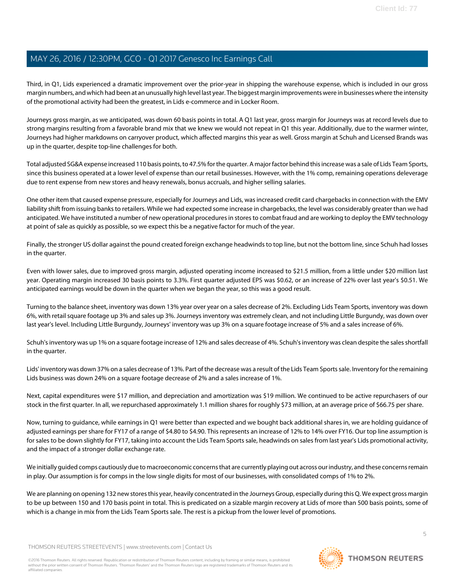Third, in Q1, Lids experienced a dramatic improvement over the prior-year in shipping the warehouse expense, which is included in our gross margin numbers, and which had been at an unusually high level last year. The biggest margin improvements were in businesses where the intensity of the promotional activity had been the greatest, in Lids e-commerce and in Locker Room.

Journeys gross margin, as we anticipated, was down 60 basis points in total. A Q1 last year, gross margin for Journeys was at record levels due to strong margins resulting from a favorable brand mix that we knew we would not repeat in Q1 this year. Additionally, due to the warmer winter, Journeys had higher markdowns on carryover product, which affected margins this year as well. Gross margin at Schuh and Licensed Brands was up in the quarter, despite top-line challenges for both.

Total adjusted SG&A expense increased 110 basis points, to 47.5% for the quarter. A major factor behind this increase was a sale of Lids Team Sports, since this business operated at a lower level of expense than our retail businesses. However, with the 1% comp, remaining operations deleverage due to rent expense from new stores and heavy renewals, bonus accruals, and higher selling salaries.

One other item that caused expense pressure, especially for Journeys and Lids, was increased credit card chargebacks in connection with the EMV liability shift from issuing banks to retailers. While we had expected some increase in chargebacks, the level was considerably greater than we had anticipated. We have instituted a number of new operational procedures in stores to combat fraud and are working to deploy the EMV technology at point of sale as quickly as possible, so we expect this be a negative factor for much of the year.

Finally, the stronger US dollar against the pound created foreign exchange headwinds to top line, but not the bottom line, since Schuh had losses in the quarter.

Even with lower sales, due to improved gross margin, adjusted operating income increased to \$21.5 million, from a little under \$20 million last year. Operating margin increased 30 basis points to 3.3%. First quarter adjusted EPS was \$0.62, or an increase of 22% over last year's \$0.51. We anticipated earnings would be down in the quarter when we began the year, so this was a good result.

Turning to the balance sheet, inventory was down 13% year over year on a sales decrease of 2%. Excluding Lids Team Sports, inventory was down 6%, with retail square footage up 3% and sales up 3%. Journeys inventory was extremely clean, and not including Little Burgundy, was down over last year's level. Including Little Burgundy, Journeys' inventory was up 3% on a square footage increase of 5% and a sales increase of 6%.

Schuh's inventory was up 1% on a square footage increase of 12% and sales decrease of 4%. Schuh's inventory was clean despite the sales shortfall in the quarter.

Lids' inventory was down 37% on a sales decrease of 13%. Part of the decrease was a result of the Lids Team Sports sale. Inventory for the remaining Lids business was down 24% on a square footage decrease of 2% and a sales increase of 1%.

Next, capital expenditures were \$17 million, and depreciation and amortization was \$19 million. We continued to be active repurchasers of our stock in the first quarter. In all, we repurchased approximately 1.1 million shares for roughly \$73 million, at an average price of \$66.75 per share.

Now, turning to guidance, while earnings in Q1 were better than expected and we bought back additional shares in, we are holding guidance of adjusted earnings per share for FY17 of a range of \$4.80 to \$4.90. This represents an increase of 12% to 14% over FY16. Our top line assumption is for sales to be down slightly for FY17, taking into account the Lids Team Sports sale, headwinds on sales from last year's Lids promotional activity, and the impact of a stronger dollar exchange rate.

We initially quided comps cautiously due to macroeconomic concerns that are currently playing out across our industry, and these concerns remain in play. Our assumption is for comps in the low single digits for most of our businesses, with consolidated comps of 1% to 2%.

We are planning on opening 132 new stores this year, heavily concentrated in the Journeys Group, especially during this Q. We expect gross margin to be up between 150 and 170 basis point in total. This is predicated on a sizable margin recovery at Lids of more than 500 basis points, some of which is a change in mix from the Lids Team Sports sale. The rest is a pickup from the lower level of promotions.

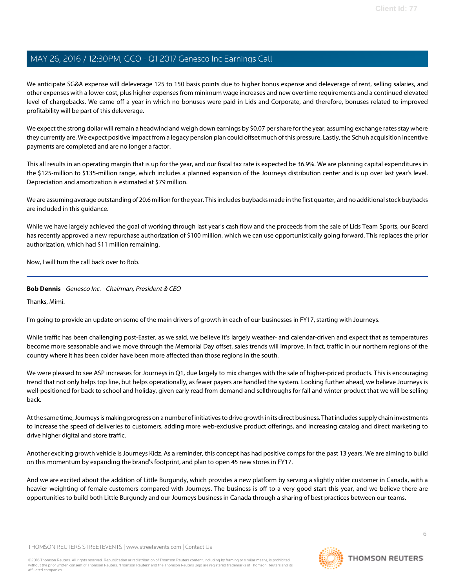We anticipate SG&A expense will deleverage 125 to 150 basis points due to higher bonus expense and deleverage of rent, selling salaries, and other expenses with a lower cost, plus higher expenses from minimum wage increases and new overtime requirements and a continued elevated level of chargebacks. We came off a year in which no bonuses were paid in Lids and Corporate, and therefore, bonuses related to improved profitability will be part of this deleverage.

We expect the strong dollar will remain a headwind and weigh down earnings by \$0.07 per share for the year, assuming exchange rates stay where they currently are. We expect positive impact from a legacy pension plan could offset much of this pressure. Lastly, the Schuh acquisition incentive payments are completed and are no longer a factor.

This all results in an operating margin that is up for the year, and our fiscal tax rate is expected be 36.9%. We are planning capital expenditures in the \$125-million to \$135-million range, which includes a planned expansion of the Journeys distribution center and is up over last year's level. Depreciation and amortization is estimated at \$79 million.

We are assuming average outstanding of 20.6 million for the year. This includes buybacks made in the first quarter, and no additional stock buybacks are included in this guidance.

While we have largely achieved the goal of working through last year's cash flow and the proceeds from the sale of Lids Team Sports, our Board has recently approved a new repurchase authorization of \$100 million, which we can use opportunistically going forward. This replaces the prior authorization, which had \$11 million remaining.

Now, I will turn the call back over to Bob.

#### **Bob Dennis** - Genesco Inc. - Chairman, President & CEO

Thanks, Mimi.

I'm going to provide an update on some of the main drivers of growth in each of our businesses in FY17, starting with Journeys.

While traffic has been challenging post-Easter, as we said, we believe it's largely weather- and calendar-driven and expect that as temperatures become more seasonable and we move through the Memorial Day offset, sales trends will improve. In fact, traffic in our northern regions of the country where it has been colder have been more affected than those regions in the south.

We were pleased to see ASP increases for Journeys in Q1, due largely to mix changes with the sale of higher-priced products. This is encouraging trend that not only helps top line, but helps operationally, as fewer payers are handled the system. Looking further ahead, we believe Journeys is well-positioned for back to school and holiday, given early read from demand and sellthroughs for fall and winter product that we will be selling back.

At the same time, Journeys is making progress on a number of initiatives to drive growth in its direct business. That includes supply chain investments to increase the speed of deliveries to customers, adding more web-exclusive product offerings, and increasing catalog and direct marketing to drive higher digital and store traffic.

Another exciting growth vehicle is Journeys Kidz. As a reminder, this concept has had positive comps for the past 13 years. We are aiming to build on this momentum by expanding the brand's footprint, and plan to open 45 new stores in FY17.

And we are excited about the addition of Little Burgundy, which provides a new platform by serving a slightly older customer in Canada, with a heavier weighting of female customers compared with Journeys. The business is off to a very good start this year, and we believe there are opportunities to build both Little Burgundy and our Journeys business in Canada through a sharing of best practices between our teams.

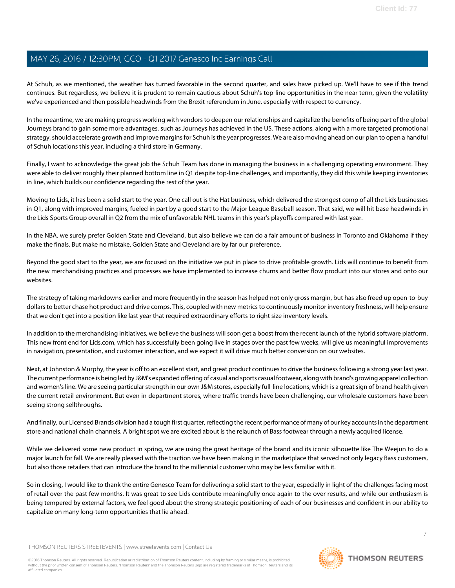At Schuh, as we mentioned, the weather has turned favorable in the second quarter, and sales have picked up. We'll have to see if this trend continues. But regardless, we believe it is prudent to remain cautious about Schuh's top-line opportunities in the near term, given the volatility we've experienced and then possible headwinds from the Brexit referendum in June, especially with respect to currency.

In the meantime, we are making progress working with vendors to deepen our relationships and capitalize the benefits of being part of the global Journeys brand to gain some more advantages, such as Journeys has achieved in the US. These actions, along with a more targeted promotional strategy, should accelerate growth and improve margins for Schuh is the year progresses. We are also moving ahead on our plan to open a handful of Schuh locations this year, including a third store in Germany.

Finally, I want to acknowledge the great job the Schuh Team has done in managing the business in a challenging operating environment. They were able to deliver roughly their planned bottom line in Q1 despite top-line challenges, and importantly, they did this while keeping inventories in line, which builds our confidence regarding the rest of the year.

Moving to Lids, it has been a solid start to the year. One call out is the Hat business, which delivered the strongest comp of all the Lids businesses in Q1, along with improved margins, fueled in part by a good start to the Major League Baseball season. That said, we will hit base headwinds in the Lids Sports Group overall in Q2 from the mix of unfavorable NHL teams in this year's playoffs compared with last year.

In the NBA, we surely prefer Golden State and Cleveland, but also believe we can do a fair amount of business in Toronto and Oklahoma if they make the finals. But make no mistake, Golden State and Cleveland are by far our preference.

Beyond the good start to the year, we are focused on the initiative we put in place to drive profitable growth. Lids will continue to benefit from the new merchandising practices and processes we have implemented to increase churns and better flow product into our stores and onto our websites.

The strategy of taking markdowns earlier and more frequently in the season has helped not only gross margin, but has also freed up open-to-buy dollars to better chase hot product and drive comps. This, coupled with new metrics to continuously monitor inventory freshness, will help ensure that we don't get into a position like last year that required extraordinary efforts to right size inventory levels.

In addition to the merchandising initiatives, we believe the business will soon get a boost from the recent launch of the hybrid software platform. This new front end for Lids.com, which has successfully been going live in stages over the past few weeks, will give us meaningful improvements in navigation, presentation, and customer interaction, and we expect it will drive much better conversion on our websites.

Next, at Johnston & Murphy, the year is off to an excellent start, and great product continues to drive the business following a strong year last year. The current performance is being led by J&M's expanded offering of casual and sports casual footwear, along with brand's growing apparel collection and women's line. We are seeing particular strength in our own J&M stores, especially full-line locations, which is a great sign of brand health given the current retail environment. But even in department stores, where traffic trends have been challenging, our wholesale customers have been seeing strong sellthroughs.

And finally, our Licensed Brands division had a tough first quarter, reflecting the recent performance of many of our key accounts in the department store and national chain channels. A bright spot we are excited about is the relaunch of Bass footwear through a newly acquired license.

While we delivered some new product in spring, we are using the great heritage of the brand and its iconic silhouette like The Weejun to do a major launch for fall. We are really pleased with the traction we have been making in the marketplace that served not only legacy Bass customers, but also those retailers that can introduce the brand to the millennial customer who may be less familiar with it.

So in closing, I would like to thank the entire Genesco Team for delivering a solid start to the year, especially in light of the challenges facing most of retail over the past few months. It was great to see Lids contribute meaningfully once again to the over results, and while our enthusiasm is being tempered by external factors, we feel good about the strong strategic positioning of each of our businesses and confident in our ability to capitalize on many long-term opportunities that lie ahead.

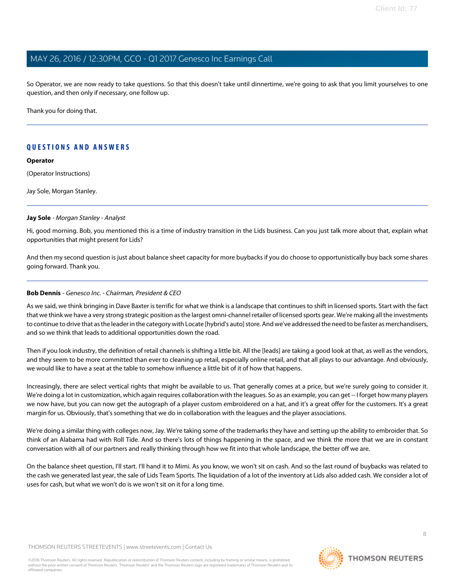So Operator, we are now ready to take questions. So that this doesn't take until dinnertime, we're going to ask that you limit yourselves to one question, and then only if necessary, one follow up.

Thank you for doing that.

## **QUESTIONS AND ANSWERS**

#### **Operator**

(Operator Instructions)

<span id="page-7-0"></span>Jay Sole, Morgan Stanley.

#### **Jay Sole** - Morgan Stanley - Analyst

Hi, good morning. Bob, you mentioned this is a time of industry transition in the Lids business. Can you just talk more about that, explain what opportunities that might present for Lids?

And then my second question is just about balance sheet capacity for more buybacks if you do choose to opportunistically buy back some shares going forward. Thank you.

#### **Bob Dennis** - Genesco Inc. - Chairman, President & CEO

As we said, we think bringing in Dave Baxter is terrific for what we think is a landscape that continues to shift in licensed sports. Start with the fact that we think we have a very strong strategic position as the largest omni-channel retailer of licensed sports gear. We're making all the investments to continue to drive that as the leader in the category with Locate [hybrid's auto] store. And we've addressed the need to be faster as merchandisers, and so we think that leads to additional opportunities down the road.

Then if you look industry, the definition of retail channels is shifting a little bit. All the [leads] are taking a good look at that, as well as the vendors, and they seem to be more committed than ever to cleaning up retail, especially online retail, and that all plays to our advantage. And obviously, we would like to have a seat at the table to somehow influence a little bit of it of how that happens.

Increasingly, there are select vertical rights that might be available to us. That generally comes at a price, but we're surely going to consider it. We're doing a lot in customization, which again requires collaboration with the leagues. So as an example, you can get -- I forget how many players we now have, but you can now get the autograph of a player custom embroidered on a hat, and it's a great offer for the customers. It's a great margin for us. Obviously, that's something that we do in collaboration with the leagues and the player associations.

We're doing a similar thing with colleges now, Jay. We're taking some of the trademarks they have and setting up the ability to embroider that. So think of an Alabama had with Roll Tide. And so there's lots of things happening in the space, and we think the more that we are in constant conversation with all of our partners and really thinking through how we fit into that whole landscape, the better off we are.

On the balance sheet question, I'll start. I'll hand it to Mimi. As you know, we won't sit on cash. And so the last round of buybacks was related to the cash we generated last year, the sale of Lids Team Sports. The liquidation of a lot of the inventory at Lids also added cash. We consider a lot of uses for cash, but what we won't do is we won't sit on it for a long time.

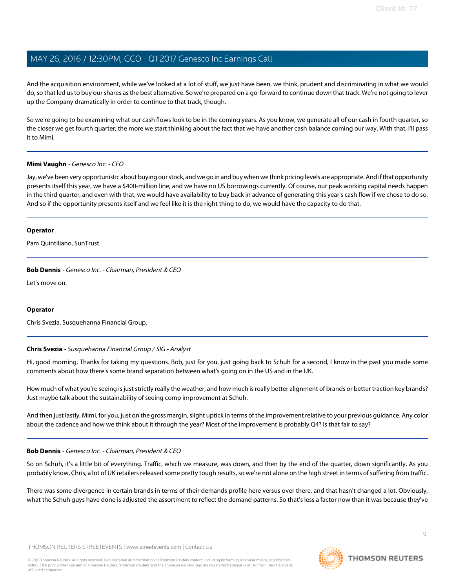And the acquisition environment, while we've looked at a lot of stuff, we just have been, we think, prudent and discriminating in what we would do, so that led us to buy our shares as the best alternative. So we're prepared on a go-forward to continue down that track. We're not going to lever up the Company dramatically in order to continue to that track, though.

So we're going to be examining what our cash flows look to be in the coming years. As you know, we generate all of our cash in fourth quarter, so the closer we get fourth quarter, the more we start thinking about the fact that we have another cash balance coming our way. With that, I'll pass it to Mimi.

#### **Mimi Vaughn** - Genesco Inc. - CFO

Jay, we've been very opportunistic about buying our stock, and we go in and buy when we think pricing levels are appropriate. And if that opportunity presents itself this year, we have a \$400-million line, and we have no US borrowings currently. Of course, our peak working capital needs happen in the third quarter, and even with that, we would have availability to buy back in advance of generating this year's cash flow if we chose to do so. And so if the opportunity presents itself and we feel like it is the right thing to do, we would have the capacity to do that.

#### **Operator**

Pam Quintiliano, SunTrust.

#### **Bob Dennis** - Genesco Inc. - Chairman, President & CEO

Let's move on.

#### <span id="page-8-0"></span>**Operator**

Chris Svezia, Susquehanna Financial Group.

### **Chris Svezia** - Susquehanna Financial Group / SIG - Analyst

Hi, good morning. Thanks for taking my questions. Bob, just for you, just going back to Schuh for a second, I know in the past you made some comments about how there's some brand separation between what's going on in the US and in the UK.

How much of what you're seeing is just strictly really the weather, and how much is really better alignment of brands or better traction key brands? Just maybe talk about the sustainability of seeing comp improvement at Schuh.

And then just lastly, Mimi, for you, just on the gross margin, slight uptick in terms of the improvement relative to your previous guidance. Any color about the cadence and how we think about it through the year? Most of the improvement is probably Q4? Is that fair to say?

#### **Bob Dennis** - Genesco Inc. - Chairman, President & CEO

So on Schuh, it's a little bit of everything. Traffic, which we measure, was down, and then by the end of the quarter, down significantly. As you probably know, Chris, a lot of UK retailers released some pretty tough results, so we're not alone on the high street in terms of suffering from traffic.

There was some divergence in certain brands in terms of their demands profile here versus over there, and that hasn't changed a lot. Obviously, what the Schuh guys have done is adjusted the assortment to reflect the demand patterns. So that's less a factor now than it was because they've

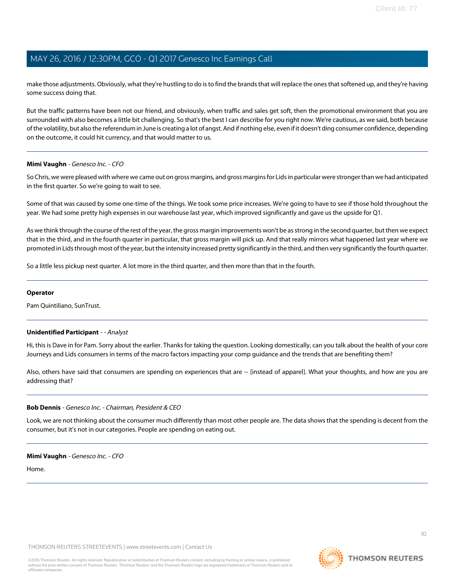make those adjustments. Obviously, what they're hustling to do is to find the brands that will replace the ones that softened up, and they're having some success doing that.

But the traffic patterns have been not our friend, and obviously, when traffic and sales get soft, then the promotional environment that you are surrounded with also becomes a little bit challenging. So that's the best I can describe for you right now. We're cautious, as we said, both because of the volatility, but also the referendum in June is creating a lot of angst. And if nothing else, even if it doesn't ding consumer confidence, depending on the outcome, it could hit currency, and that would matter to us.

#### **Mimi Vaughn** - Genesco Inc. - CFO

So Chris, we were pleased with where we came out on gross margins, and gross margins for Lids in particular were stronger than we had anticipated in the first quarter. So we're going to wait to see.

Some of that was caused by some one-time of the things. We took some price increases. We're going to have to see if those hold throughout the year. We had some pretty high expenses in our warehouse last year, which improved significantly and gave us the upside for Q1.

As we think through the course of the rest of the year, the gross margin improvements won't be as strong in the second quarter, but then we expect that in the third, and in the fourth quarter in particular, that gross margin will pick up. And that really mirrors what happened last year where we promoted in Lids through most of the year, but the intensity increased pretty significantly in the third, and then very significantly the fourth quarter.

So a little less pickup next quarter. A lot more in the third quarter, and then more than that in the fourth.

#### **Operator**

Pam Quintiliano, SunTrust.

#### **Unidentified Participant** - - Analyst

Hi, this is Dave in for Pam. Sorry about the earlier. Thanks for taking the question. Looking domestically, can you talk about the health of your core Journeys and Lids consumers in terms of the macro factors impacting your comp guidance and the trends that are benefiting them?

Also, others have said that consumers are spending on experiences that are -- [instead of apparel]. What your thoughts, and how are you are addressing that?

#### **Bob Dennis** - Genesco Inc. - Chairman, President & CEO

Look, we are not thinking about the consumer much differently than most other people are. The data shows that the spending is decent from the consumer, but it's not in our categories. People are spending on eating out.

#### **Mimi Vaughn** - Genesco Inc. - CFO

Home.

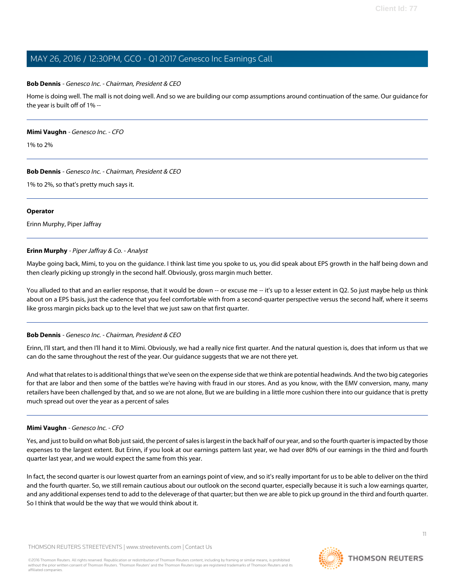#### **Bob Dennis** - Genesco Inc. - Chairman, President & CEO

Home is doing well. The mall is not doing well. And so we are building our comp assumptions around continuation of the same. Our guidance for the year is built off of 1% --

#### **Mimi Vaughn** - Genesco Inc. - CFO

1% to 2%

#### **Bob Dennis** - Genesco Inc. - Chairman, President & CEO

1% to 2%, so that's pretty much says it.

#### **Operator**

<span id="page-10-0"></span>Erinn Murphy, Piper Jaffray

#### **Erinn Murphy** - Piper Jaffray & Co. - Analyst

Maybe going back, Mimi, to you on the guidance. I think last time you spoke to us, you did speak about EPS growth in the half being down and then clearly picking up strongly in the second half. Obviously, gross margin much better.

You alluded to that and an earlier response, that it would be down -- or excuse me -- it's up to a lesser extent in Q2. So just maybe help us think about on a EPS basis, just the cadence that you feel comfortable with from a second-quarter perspective versus the second half, where it seems like gross margin picks back up to the level that we just saw on that first quarter.

#### **Bob Dennis** - Genesco Inc. - Chairman, President & CEO

Erinn, I'll start, and then I'll hand it to Mimi. Obviously, we had a really nice first quarter. And the natural question is, does that inform us that we can do the same throughout the rest of the year. Our guidance suggests that we are not there yet.

And what that relates to is additional things that we've seen on the expense side that we think are potential headwinds. And the two big categories for that are labor and then some of the battles we're having with fraud in our stores. And as you know, with the EMV conversion, many, many retailers have been challenged by that, and so we are not alone, But we are building in a little more cushion there into our guidance that is pretty much spread out over the year as a percent of sales

#### **Mimi Vaughn** - Genesco Inc. - CFO

Yes, and just to build on what Bob just said, the percent of sales is largest in the back half of our year, and so the fourth quarter is impacted by those expenses to the largest extent. But Erinn, if you look at our earnings pattern last year, we had over 80% of our earnings in the third and fourth quarter last year, and we would expect the same from this year.

In fact, the second quarter is our lowest quarter from an earnings point of view, and so it's really important for us to be able to deliver on the third and the fourth quarter. So, we still remain cautious about our outlook on the second quarter, especially because it is such a low earnings quarter, and any additional expenses tend to add to the deleverage of that quarter; but then we are able to pick up ground in the third and fourth quarter. So I think that would be the way that we would think about it.

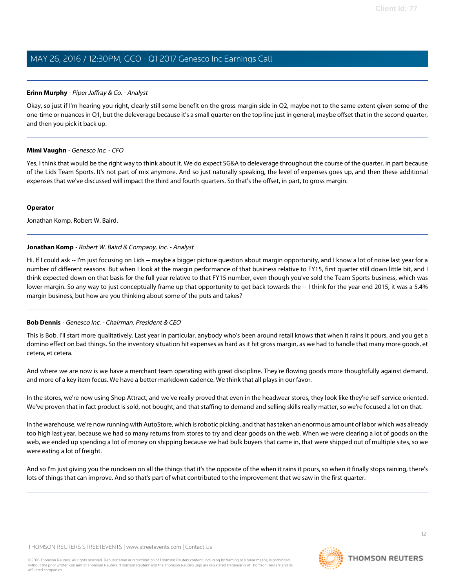#### **Erinn Murphy** - Piper Jaffray & Co. - Analyst

Okay, so just if I'm hearing you right, clearly still some benefit on the gross margin side in Q2, maybe not to the same extent given some of the one-time or nuances in Q1, but the deleverage because it's a small quarter on the top line just in general, maybe offset that in the second quarter, and then you pick it back up.

#### **Mimi Vaughn** - Genesco Inc. - CFO

Yes, I think that would be the right way to think about it. We do expect SG&A to deleverage throughout the course of the quarter, in part because of the Lids Team Sports. It's not part of mix anymore. And so just naturally speaking, the level of expenses goes up, and then these additional expenses that we've discussed will impact the third and fourth quarters. So that's the offset, in part, to gross margin.

#### **Operator**

<span id="page-11-0"></span>Jonathan Komp, Robert W. Baird.

#### **Jonathan Komp** - Robert W. Baird & Company, Inc. - Analyst

Hi. If I could ask -- I'm just focusing on Lids -- maybe a bigger picture question about margin opportunity, and I know a lot of noise last year for a number of different reasons. But when I look at the margin performance of that business relative to FY15, first quarter still down little bit, and I think expected down on that basis for the full year relative to that FY15 number, even though you've sold the Team Sports business, which was lower margin. So any way to just conceptually frame up that opportunity to get back towards the -- I think for the year end 2015, it was a 5.4% margin business, but how are you thinking about some of the puts and takes?

### **Bob Dennis** - Genesco Inc. - Chairman, President & CEO

This is Bob. I'll start more qualitatively. Last year in particular, anybody who's been around retail knows that when it rains it pours, and you get a domino effect on bad things. So the inventory situation hit expenses as hard as it hit gross margin, as we had to handle that many more goods, et cetera, et cetera.

And where we are now is we have a merchant team operating with great discipline. They're flowing goods more thoughtfully against demand, and more of a key item focus. We have a better markdown cadence. We think that all plays in our favor.

In the stores, we're now using Shop Attract, and we've really proved that even in the headwear stores, they look like they're self-service oriented. We've proven that in fact product is sold, not bought, and that staffing to demand and selling skills really matter, so we're focused a lot on that.

In the warehouse, we're now running with AutoStore, which is robotic picking, and that has taken an enormous amount of labor which was already too high last year, because we had so many returns from stores to try and clear goods on the web. When we were clearing a lot of goods on the web, we ended up spending a lot of money on shipping because we had bulk buyers that came in, that were shipped out of multiple sites, so we were eating a lot of freight.

And so I'm just giving you the rundown on all the things that it's the opposite of the when it rains it pours, so when it finally stops raining, there's lots of things that can improve. And so that's part of what contributed to the improvement that we saw in the first quarter.

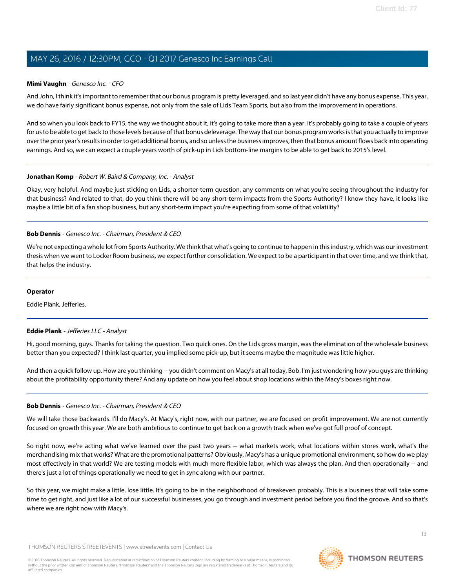#### **Mimi Vaughn** - Genesco Inc. - CFO

And John, I think it's important to remember that our bonus program is pretty leveraged, and so last year didn't have any bonus expense. This year, we do have fairly significant bonus expense, not only from the sale of Lids Team Sports, but also from the improvement in operations.

And so when you look back to FY15, the way we thought about it, it's going to take more than a year. It's probably going to take a couple of years for us to be able to get back to those levels because of that bonus deleverage. The way that our bonus program works is that you actually to improve over the prior year's results in order to get additional bonus, and so unless the business improves, then that bonus amount flows back into operating earnings. And so, we can expect a couple years worth of pick-up in Lids bottom-line margins to be able to get back to 2015's level.

#### **Jonathan Komp** - Robert W. Baird & Company, Inc. - Analyst

Okay, very helpful. And maybe just sticking on Lids, a shorter-term question, any comments on what you're seeing throughout the industry for that business? And related to that, do you think there will be any short-term impacts from the Sports Authority? I know they have, it looks like maybe a little bit of a fan shop business, but any short-term impact you're expecting from some of that volatility?

#### **Bob Dennis** - Genesco Inc. - Chairman, President & CEO

We're not expecting a whole lot from Sports Authority. We think that what's going to continue to happen in this industry, which was our investment thesis when we went to Locker Room business, we expect further consolidation. We expect to be a participant in that over time, and we think that, that helps the industry.

#### **Operator**

<span id="page-12-0"></span>Eddie Plank, Jefferies.

### **Eddie Plank** - Jefferies LLC - Analyst

Hi, good morning, guys. Thanks for taking the question. Two quick ones. On the Lids gross margin, was the elimination of the wholesale business better than you expected? I think last quarter, you implied some pick-up, but it seems maybe the magnitude was little higher.

And then a quick follow up. How are you thinking -- you didn't comment on Macy's at all today, Bob. I'm just wondering how you guys are thinking about the profitability opportunity there? And any update on how you feel about shop locations within the Macy's boxes right now.

#### **Bob Dennis** - Genesco Inc. - Chairman, President & CEO

We will take those backwards. I'll do Macy's. At Macy's, right now, with our partner, we are focused on profit improvement. We are not currently focused on growth this year. We are both ambitious to continue to get back on a growth track when we've got full proof of concept.

So right now, we're acting what we've learned over the past two years -- what markets work, what locations within stores work, what's the merchandising mix that works? What are the promotional patterns? Obviously, Macy's has a unique promotional environment, so how do we play most effectively in that world? We are testing models with much more flexible labor, which was always the plan. And then operationally -- and there's just a lot of things operationally we need to get in sync along with our partner.

So this year, we might make a little, lose little. It's going to be in the neighborhood of breakeven probably. This is a business that will take some time to get right, and just like a lot of our successful businesses, you go through and investment period before you find the groove. And so that's where we are right now with Macy's.

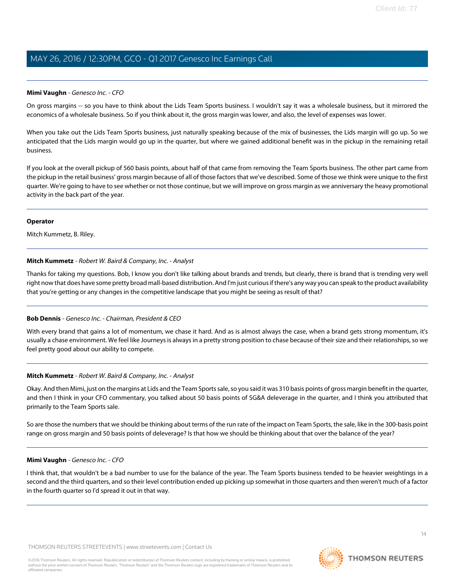#### **Mimi Vaughn** - Genesco Inc. - CFO

On gross margins -- so you have to think about the Lids Team Sports business. I wouldn't say it was a wholesale business, but it mirrored the economics of a wholesale business. So if you think about it, the gross margin was lower, and also, the level of expenses was lower.

When you take out the Lids Team Sports business, just naturally speaking because of the mix of businesses, the Lids margin will go up. So we anticipated that the Lids margin would go up in the quarter, but where we gained additional benefit was in the pickup in the remaining retail business.

If you look at the overall pickup of 560 basis points, about half of that came from removing the Team Sports business. The other part came from the pickup in the retail business' gross margin because of all of those factors that we've described. Some of those we think were unique to the first quarter. We're going to have to see whether or not those continue, but we will improve on gross margin as we anniversary the heavy promotional activity in the back part of the year.

#### **Operator**

<span id="page-13-0"></span>Mitch Kummetz, B. Riley.

#### **Mitch Kummetz** - Robert W. Baird & Company, Inc. - Analyst

Thanks for taking my questions. Bob, I know you don't like talking about brands and trends, but clearly, there is brand that is trending very well right now that does have some pretty broad mall-based distribution. And I'm just curious if there's any way you can speak to the product availability that you're getting or any changes in the competitive landscape that you might be seeing as result of that?

### **Bob Dennis** - Genesco Inc. - Chairman, President & CEO

With every brand that gains a lot of momentum, we chase it hard. And as is almost always the case, when a brand gets strong momentum, it's usually a chase environment. We feel like Journeys is always in a pretty strong position to chase because of their size and their relationships, so we feel pretty good about our ability to compete.

### **Mitch Kummetz** - Robert W. Baird & Company, Inc. - Analyst

Okay. And then Mimi, just on the margins at Lids and the Team Sports sale, so you said it was 310 basis points of gross margin benefit in the quarter, and then I think in your CFO commentary, you talked about 50 basis points of SG&A deleverage in the quarter, and I think you attributed that primarily to the Team Sports sale.

So are those the numbers that we should be thinking about terms of the run rate of the impact on Team Sports, the sale, like in the 300-basis point range on gross margin and 50 basis points of deleverage? Is that how we should be thinking about that over the balance of the year?

#### **Mimi Vaughn** - Genesco Inc. - CFO

I think that, that wouldn't be a bad number to use for the balance of the year. The Team Sports business tended to be heavier weightings in a second and the third quarters, and so their level contribution ended up picking up somewhat in those quarters and then weren't much of a factor in the fourth quarter so I'd spread it out in that way.

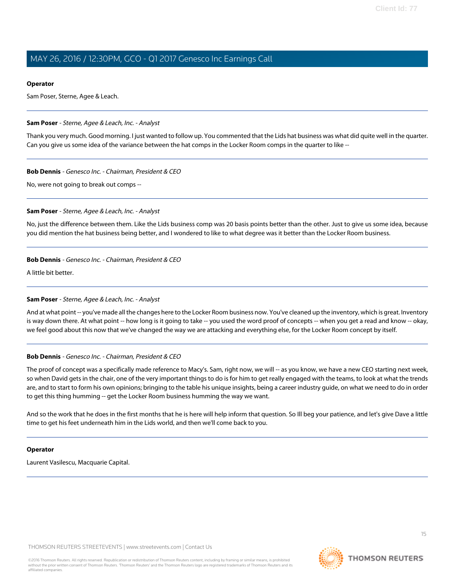### **Operator**

Sam Poser, Sterne, Agee & Leach.

### <span id="page-14-0"></span>**Sam Poser** - Sterne, Agee & Leach, Inc. - Analyst

Thank you very much. Good morning. I just wanted to follow up. You commented that the Lids hat business was what did quite well in the quarter. Can you give us some idea of the variance between the hat comps in the Locker Room comps in the quarter to like --

### **Bob Dennis** - Genesco Inc. - Chairman, President & CEO

No, were not going to break out comps --

### **Sam Poser** - Sterne, Agee & Leach, Inc. - Analyst

No, just the difference between them. Like the Lids business comp was 20 basis points better than the other. Just to give us some idea, because you did mention the hat business being better, and I wondered to like to what degree was it better than the Locker Room business.

# **Bob Dennis** - Genesco Inc. - Chairman, President & CEO

A little bit better.

### **Sam Poser** - Sterne, Agee & Leach, Inc. - Analyst

And at what point -- you've made all the changes here to the Locker Room business now. You've cleaned up the inventory, which is great. Inventory is way down there. At what point -- how long is it going to take -- you used the word proof of concepts -- when you get a read and know -- okay, we feel good about this now that we've changed the way we are attacking and everything else, for the Locker Room concept by itself.

### **Bob Dennis** - Genesco Inc. - Chairman, President & CEO

The proof of concept was a specifically made reference to Macy's. Sam, right now, we will -- as you know, we have a new CEO starting next week, so when David gets in the chair, one of the very important things to do is for him to get really engaged with the teams, to look at what the trends are, and to start to form his own opinions; bringing to the table his unique insights, being a career industry guide, on what we need to do in order to get this thing humming -- get the Locker Room business humming the way we want.

And so the work that he does in the first months that he is here will help inform that question. So Ill beg your patience, and let's give Dave a little time to get his feet underneath him in the Lids world, and then we'll come back to you.

### **Operator**

Laurent Vasilescu, Macquarie Capital.

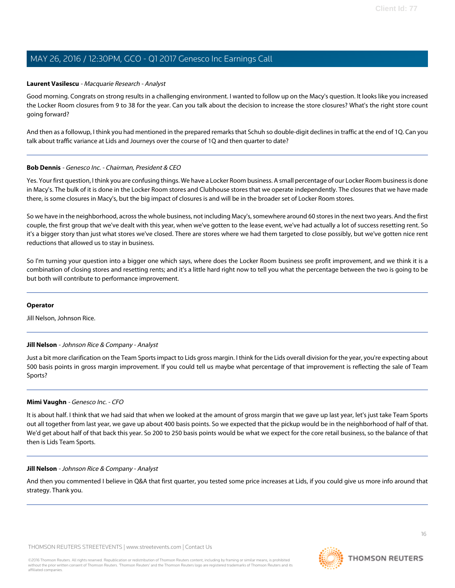#### <span id="page-15-0"></span>**Laurent Vasilescu** - Macquarie Research - Analyst

Good morning. Congrats on strong results in a challenging environment. I wanted to follow up on the Macy's question. It looks like you increased the Locker Room closures from 9 to 38 for the year. Can you talk about the decision to increase the store closures? What's the right store count going forward?

And then as a followup, I think you had mentioned in the prepared remarks that Schuh so double-digit declines in traffic at the end of 1Q. Can you talk about traffic variance at Lids and Journeys over the course of 1Q and then quarter to date?

#### **Bob Dennis** - Genesco Inc. - Chairman, President & CEO

Yes. Your first question, I think you are confusing things. We have a Locker Room business. A small percentage of our Locker Room business is done in Macy's. The bulk of it is done in the Locker Room stores and Clubhouse stores that we operate independently. The closures that we have made there, is some closures in Macy's, but the big impact of closures is and will be in the broader set of Locker Room stores.

So we have in the neighborhood, across the whole business, not including Macy's, somewhere around 60 stores in the next two years. And the first couple, the first group that we've dealt with this year, when we've gotten to the lease event, we've had actually a lot of success resetting rent. So it's a bigger story than just what stores we've closed. There are stores where we had them targeted to close possibly, but we've gotten nice rent reductions that allowed us to stay in business.

So I'm turning your question into a bigger one which says, where does the Locker Room business see profit improvement, and we think it is a combination of closing stores and resetting rents; and it's a little hard right now to tell you what the percentage between the two is going to be but both will contribute to performance improvement.

#### <span id="page-15-1"></span>**Operator**

Jill Nelson, Johnson Rice.

#### **Jill Nelson** - Johnson Rice & Company - Analyst

Just a bit more clarification on the Team Sports impact to Lids gross margin. I think for the Lids overall division for the year, you're expecting about 500 basis points in gross margin improvement. If you could tell us maybe what percentage of that improvement is reflecting the sale of Team Sports?

#### **Mimi Vaughn** - Genesco Inc. - CFO

It is about half. I think that we had said that when we looked at the amount of gross margin that we gave up last year, let's just take Team Sports out all together from last year, we gave up about 400 basis points. So we expected that the pickup would be in the neighborhood of half of that. We'd get about half of that back this year. So 200 to 250 basis points would be what we expect for the core retail business, so the balance of that then is Lids Team Sports.

#### **Jill Nelson** - Johnson Rice & Company - Analyst

And then you commented I believe in Q&A that first quarter, you tested some price increases at Lids, if you could give us more info around that strategy. Thank you.



**THOMSON REUTERS**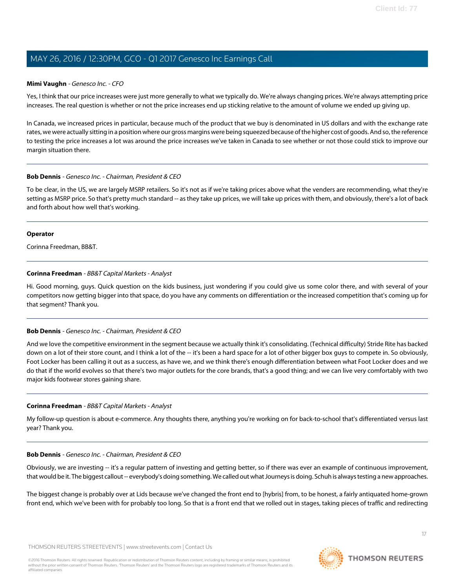#### **Mimi Vaughn** - Genesco Inc. - CFO

Yes, I think that our price increases were just more generally to what we typically do. We're always changing prices. We're always attempting price increases. The real question is whether or not the price increases end up sticking relative to the amount of volume we ended up giving up.

In Canada, we increased prices in particular, because much of the product that we buy is denominated in US dollars and with the exchange rate rates, we were actually sitting in a position where our gross margins were being squeezed because of the higher cost of goods. And so, the reference to testing the price increases a lot was around the price increases we've taken in Canada to see whether or not those could stick to improve our margin situation there.

#### **Bob Dennis** - Genesco Inc. - Chairman, President & CEO

To be clear, in the US, we are largely MSRP retailers. So it's not as if we're taking prices above what the venders are recommending, what they're setting as MSRP price. So that's pretty much standard -- as they take up prices, we will take up prices with them, and obviously, there's a lot of back and forth about how well that's working.

#### **Operator**

<span id="page-16-0"></span>Corinna Freedman, BB&T.

### **Corinna Freedman** - BB&T Capital Markets - Analyst

Hi. Good morning, guys. Quick question on the kids business, just wondering if you could give us some color there, and with several of your competitors now getting bigger into that space, do you have any comments on differentiation or the increased competition that's coming up for that segment? Thank you.

### **Bob Dennis** - Genesco Inc. - Chairman, President & CEO

And we love the competitive environment in the segment because we actually think it's consolidating. (Technical difficulty) Stride Rite has backed down on a lot of their store count, and I think a lot of the -- it's been a hard space for a lot of other bigger box guys to compete in. So obviously, Foot Locker has been calling it out as a success, as have we, and we think there's enough differentiation between what Foot Locker does and we do that if the world evolves so that there's two major outlets for the core brands, that's a good thing; and we can live very comfortably with two major kids footwear stores gaining share.

### **Corinna Freedman** - BB&T Capital Markets - Analyst

My follow-up question is about e-commerce. Any thoughts there, anything you're working on for back-to-school that's differentiated versus last year? Thank you.

#### **Bob Dennis** - Genesco Inc. - Chairman, President & CEO

Obviously, we are investing -- it's a regular pattern of investing and getting better, so if there was ever an example of continuous improvement, that would be it. The biggest callout -- everybody's doing something. We called out what Journeys is doing. Schuh is always testing a new approaches.

The biggest change is probably over at Lids because we've changed the front end to [hybris] from, to be honest, a fairly antiquated home-grown front end, which we've been with for probably too long. So that is a front end that we rolled out in stages, taking pieces of traffic and redirecting